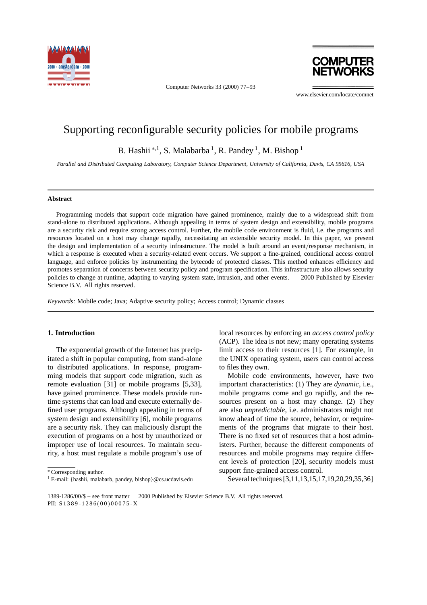

Computer Networks 33 (2000) 77–93



www.elsevier.com/locate/comnet

# Supporting reconfigurable security policies for mobile programs

B. Hashii  $^{*,1}$ , S. Malabarba <sup>1</sup>, R. Pandey <sup>1</sup>, M. Bishop <sup>1</sup>

*Parallel and Distributed Computing Laboratory, Computer Science Department, University of California, Davis, CA 95616, USA*

## **Abstract**

Programming models that support code migration have gained prominence, mainly due to a widespread shift from stand-alone to distributed applications. Although appealing in terms of system design and extensibility, mobile programs are a security risk and require strong access control. Further, the mobile code environment is fluid, i.e. the programs and resources located on a host may change rapidly, necessitating an extensible security model. In this paper, we present the design and implementation of a security infrastructure. The model is built around an event/response mechanism, in which a response is executed when a security-related event occurs. We support a fine-grained, conditional access control language, and enforce policies by instrumenting the bytecode of protected classes. This method enhances efficiency and promotes separation of concerns between security policy and program specification. This infrastructure also allows security policies to change at runtime, adapting to varying system state, intrusion, and other events.  $\circ$  2000 Published by Elsevier Science B.V. All rights reserved.

*Keywords:* Mobile code; Java; Adaptive security policy; Access control; Dynamic classes

## **1. Introduction**

The exponential growth of the Internet has precipitated a shift in popular computing, from stand-alone to distributed applications. In response, programming models that support code migration, such as remote evaluation [31] or mobile programs [5,33], have gained prominence. These models provide runtime systems that can load and execute externally defined user programs. Although appealing in terms of system design and extensibility [6], mobile programs are a security risk. They can maliciously disrupt the execution of programs on a host by unauthorized or improper use of local resources. To maintain security, a host must regulate a mobile program's use of

\* Corresponding author.

local resources by enforcing an *access control policy* (ACP). The idea is not new; many operating systems limit access to their resources [1]. For example, in the UNIX operating system, users can control access to files they own.

Mobile code environments, however, have two important characteristics: (1) They are *dynamic*, i.e., mobile programs come and go rapidly, and the resources present on a host may change. (2) They are also *unpredictable*, i.e. administrators might not know ahead of time the source, behavior, or requirements of the programs that migrate to their host. There is no fixed set of resources that a host administers. Further, because the different components of resources and mobile programs may require different levels of protection [20], security models must support fine-grained access control.

Several techniques [3,11,13,15,17,19,20,29,35,36]

<sup>1</sup> E-mail: {hashii, malabarb, pandey, bishop}@cs.ucdavis.edu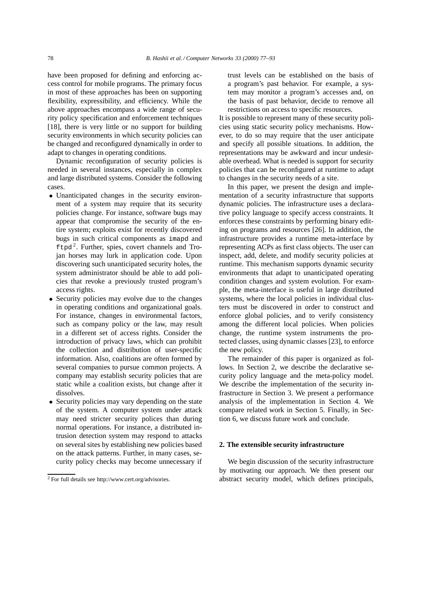have been proposed for defining and enforcing access control for mobile programs. The primary focus in most of these approaches has been on supporting flexibility, expressibility, and efficiency. While the above approaches encompass a wide range of security policy specification and enforcement techniques [18], there is very little or no support for building security environments in which security policies can be changed and reconfigured dynamically in order to adapt to changes in operating conditions.

Dynamic reconfiguration of security policies is needed in several instances, especially in complex and large distributed systems. Consider the following cases.

- Unanticipated changes in the security environment of a system may require that its security policies change. For instance, software bugs may appear that compromise the security of the entire system; exploits exist for recently discovered bugs in such critical components as imapd and  $ftpd<sup>2</sup>$ . Further, spies, covert channels and Trojan horses may lurk in application code. Upon discovering such unanticipated security holes, the system administrator should be able to add policies that revoke a previously trusted program's access rights.
- Security policies may evolve due to the changes in operating conditions and organizational goals. For instance, changes in environmental factors, such as company policy or the law, may result in a different set of access rights. Consider the introduction of privacy laws, which can prohibit the collection and distribution of user-specific information. Also, coalitions are often formed by several companies to pursue common projects. A company may establish security policies that are static while a coalition exists, but change after it dissolves.
- Security policies may vary depending on the state of the system. A computer system under attack may need stricter security polices than during normal operations. For instance, a distributed intrusion detection system may respond to attacks on several sites by establishing new policies based on the attack patterns. Further, in many cases, security policy checks may become unnecessary if

trust levels can be established on the basis of a program's past behavior. For example, a system may monitor a program's accesses and, on the basis of past behavior, decide to remove all restrictions on access to specific resources.

It is possible to represent many of these security policies using static security policy mechanisms. However, to do so may require that the user anticipate and specify all possible situations. In addition, the representations may be awkward and incur undesirable overhead. What is needed is support for security policies that can be reconfigured at runtime to adapt to changes in the security needs of a site.

In this paper, we present the design and implementation of a security infrastructure that supports dynamic policies. The infrastructure uses a declarative policy language to specify access constraints. It enforces these constraints by performing binary editing on programs and resources [26]. In addition, the infrastructure provides a runtime meta-interface by representing ACPs as first class objects. The user can inspect, add, delete, and modify security policies at runtime. This mechanism supports dynamic security environments that adapt to unanticipated operating condition changes and system evolution. For example, the meta-interface is useful in large distributed systems, where the local policies in individual clusters must be discovered in order to construct and enforce global policies, and to verify consistency among the different local policies. When policies change, the runtime system instruments the protected classes, using dynamic classes [23], to enforce the new policy.

The remainder of this paper is organized as follows. In Section 2, we describe the declarative security policy language and the meta-policy model. We describe the implementation of the security infrastructure in Section 3. We present a performance analysis of the implementation in Section 4. We compare related work in Section 5. Finally, in Section 6, we discuss future work and conclude.

## **2. The extensible security infrastructure**

We begin discussion of the security infrastructure by motivating our approach. We then present our abstract security model, which defines principals,

<sup>2</sup> For full details see http://www.cert.org/advisories.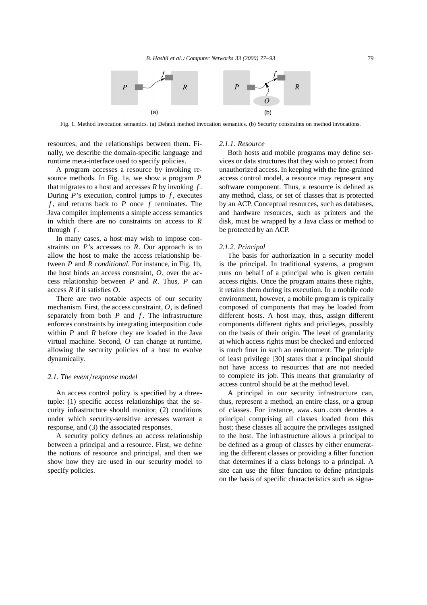

Fig. 1. Method invocation semantics. (a) Default method invocation semantics. (b) Security constraints on method invocations.

resources, and the relationships between them. Finally, we describe the domain-specific language and runtime meta-interface used to specify policies.

A program accesses a resource by invoking resource methods. In Fig. 1a, we show a program *P* that migrates to a host and accesses *R* by invoking *f* . During *P*'s execution, control jumps to *f* , executes *f* , and returns back to *P* once *f* terminates. The Java compiler implements a simple access semantics in which there are no constraints on access to *R* through *f* .

In many cases, a host may wish to impose constraints on *P*'s accesses to *R*. Our approach is to allow the host to make the access relationship between *P* and *R conditional*. For instance, in Fig. 1b, the host binds an access constraint, *O*, over the access relationship between *P* and *R*. Thus, *P* can access *R* if it satisfies *O*.

There are two notable aspects of our security mechanism. First, the access constraint, *O*, is defined separately from both  $P$  and  $f$ . The infrastructure enforces constraints by integrating interposition code within *P* and *R* before they are loaded in the Java virtual machine. Second, *O* can change at runtime, allowing the security policies of a host to evolve dynamically.

## 2.1. The event/response model

An access control policy is specified by a threetuple: (1) specific access relationships that the security infrastructure should monitor, (2) conditions under which security-sensitive accesses warrant a response, and (3) the associated responses.

A security policy defines an access relationship between a principal and a resource. First, we define the notions of resource and principal, and then we show how they are used in our security model to specify policies.

### *2.1.1. Resource*

Both hosts and mobile programs may define services or data structures that they wish to protect from unauthorized access. In keeping with the fine-grained access control model, a resource may represent any software component. Thus, a resource is defined as any method, class, or set of classes that is protected by an ACP. Conceptual resources, such as databases, and hardware resources, such as printers and the disk, must be wrapped by a Java class or method to be protected by an ACP.

### *2.1.2. Principal*

The basis for authorization in a security model is the principal. In traditional systems, a program runs on behalf of a principal who is given certain access rights. Once the program attains these rights, it retains them during its execution. In a mobile code environment, however, a mobile program is typically composed of components that may be loaded from different hosts. A host may, thus, assign different components different rights and privileges, possibly on the basis of their origin. The level of granularity at which access rights must be checked and enforced is much finer in such an environment. The principle of least privilege [30] states that a principal should not have access to resources that are not needed to complete its job. This means that granularity of access control should be at the method level.

A principal in our security infrastructure can, thus, represent a method, an entire class, or a group of classes. For instance, www.sun.com denotes a principal comprising all classes loaded from this host; these classes all acquire the privileges assigned to the host. The infrastructure allows a principal to be defined as a group of classes by either enumerating the different classes or providing a filter function that determines if a class belongs to a principal. A site can use the filter function to define principals on the basis of specific characteristics such as signa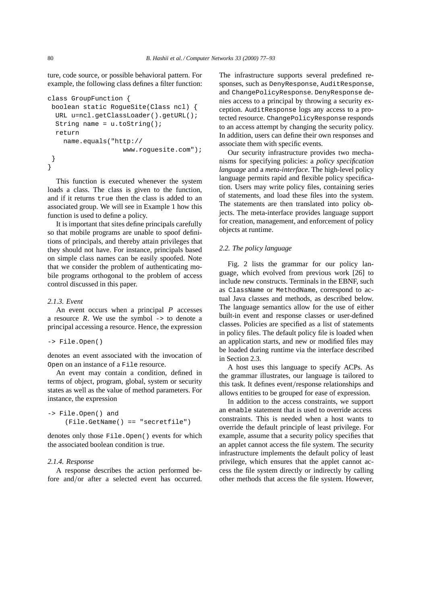ture, code source, or possible behavioral pattern. For example, the following class defines a filter function:

```
class GroupFunction {
boolean static RogueSite(Class ncl) {
 URL u=ncl.getClassLoader().getURL();
 String name = u.toString();
 return
    name.equals("http://
                   www.roguesite.com");
 }
}
```
This function is executed whenever the system loads a class. The class is given to the function, and if it returns true then the class is added to an associated group. We will see in Example 1 how this function is used to define a policy.

It is important that sites define principals carefully so that mobile programs are unable to spoof definitions of principals, and thereby attain privileges that they should not have. For instance, principals based on simple class names can be easily spoofed. Note that we consider the problem of authenticating mobile programs orthogonal to the problem of access control discussed in this paper.

## *2.1.3. Event*

An event occurs when a principal *P* accesses a resource  $R$ . We use the symbol  $\rightarrow$  to denote a principal accessing a resource. Hence, the expression

```
-> File.Open()
```
denotes an event associated with the invocation of Open on an instance of a File resource.

An event may contain a condition, defined in terms of object, program, global, system or security states as well as the value of method parameters. For instance, the expression

```
-> File.Open() and
    (File.GetName() == "secretfile")
```
denotes only those File.Open() events for which the associated boolean condition is true.

#### *2.1.4. Response*

A response describes the action performed before and/or after a selected event has occurred. The infrastructure supports several predefined responses, such as DenyResponse, AuditResponse, and ChangePolicyResponse. DenyResponse denies access to a principal by throwing a security exception. AuditResponse logs any access to a protected resource. ChangePolicyResponse responds to an access attempt by changing the security policy. In addition, users can define their own responses and associate them with specific events.

Our security infrastructure provides two mechanisms for specifying policies: a *policy specification language* and a *meta-interface*. The high-level policy language permits rapid and flexible policy specification. Users may write policy files, containing series of statements, and load these files into the system. The statements are then translated into policy objects. The meta-interface provides language support for creation, management, and enforcement of policy objects at runtime.

## *2.2. The policy language*

Fig. 2 lists the grammar for our policy language, which evolved from previous work [26] to include new constructs. Terminals in the EBNF, such as ClassName or MethodName, correspond to actual Java classes and methods, as described below. The language semantics allow for the use of either built-in event and response classes or user-defined classes. Policies are specified as a list of statements in policy files. The default policy file is loaded when an application starts, and new or modified files may be loaded during runtime via the interface described in Section 2.3.

A host uses this language to specify ACPs. As the grammar illustrates, our language is tailored to this task. It defines event/response relationships and allows entities to be grouped for ease of expression.

In addition to the access constraints, we support an enable statement that is used to override access constraints. This is needed when a host wants to override the default principle of least privilege. For example, assume that a security policy specifies that an applet cannot access the file system. The security infrastructure implements the default policy of least privilege, which ensures that the applet cannot access the file system directly or indirectly by calling other methods that access the file system. However,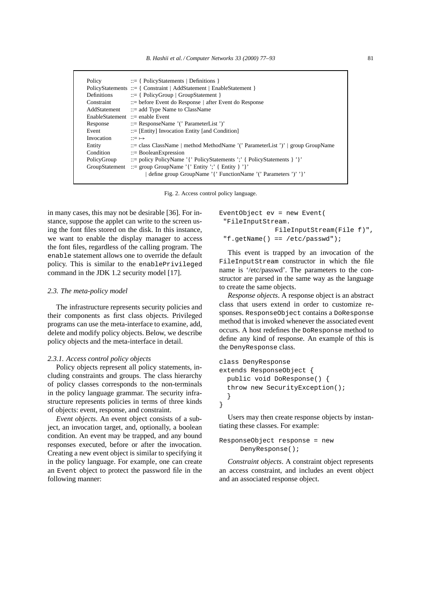| Policy                              | $ ::= \{ PolicyStates \mid Definitions \}$                                              |
|-------------------------------------|-----------------------------------------------------------------------------------------|
|                                     | PolicyStatements ::= { Constraint   AddStatement   EnableStatement }                    |
| <b>Definitions</b>                  | $ ::= \{ \text{PolicyGroup} \mid \text{GroupStatement} \}$                              |
| Constraint                          | $\therefore$ before Event do Response   after Event do Response                         |
| AddStatement                        | $\therefore$ add Type Name to ClassName                                                 |
| $EnableStatement :: = enable Event$ |                                                                                         |
| Response                            | $\therefore$ ResponseName '(' ParameterList')'                                          |
| Event                               | $\therefore$ [Entity] Invocation Entity [and Condition]                                 |
| Invocation                          | $\therefore = \mapsto$                                                                  |
| Entity                              | $\therefore$ class ClassName   method MethodName '(' ParameterList')'   group GroupName |
| Condition                           | $\therefore$ Boolean Expression                                                         |
| PolicyGroup                         | ::= policy PolicyName '{' PolicyStatements ';' { PolicyStatements } '}'                 |
|                                     | GroupStatement ::= group GroupName '{' Entity ';' { Entity } '}'                        |
|                                     | define group GroupName '{' FunctionName '(' Parameters ')' '}'                          |
|                                     |                                                                                         |

Fig. 2. Access control policy language.

in many cases, this may not be desirable [36]. For instance, suppose the applet can write to the screen using the font files stored on the disk. In this instance, we want to enable the display manager to access the font files, regardless of the calling program. The enable statement allows one to override the default policy. This is similar to the enablePrivileged command in the JDK 1.2 security model [17].

## *2.3. The meta-policy model*

The infrastructure represents security policies and their components as first class objects. Privileged programs can use the meta-interface to examine, add, delete and modify policy objects. Below, we describe policy objects and the meta-interface in detail.

### *2.3.1. Access control policy objects*

Policy objects represent all policy statements, including constraints and groups. The class hierarchy of policy classes corresponds to the non-terminals in the policy language grammar. The security infrastructure represents policies in terms of three kinds of objects: event, response, and constraint.

*Event objects*. An event object consists of a subject, an invocation target, and, optionally, a boolean condition. An event may be trapped, and any bound responses executed, before or after the invocation. Creating a new event object is similar to specifying it in the policy language. For example, one can create an Event object to protect the password file in the following manner:

```
EventObject ev = new Event(
 "FileInputStream.
              FileInputStream(File f)",
 "f.getName() == /etc/passwd");
```
This event is trapped by an invocation of the FileInputStream constructor in which the file name is '/etc/passwd'. The parameters to the constructor are parsed in the same way as the language to create the same objects.

*Response objects*. A response object is an abstract class that users extend in order to customize responses. ResponseObject contains a DoResponse method that is invoked whenever the associated event occurs. A host redefines the DoResponse method to define any kind of response. An example of this is the DenyResponse class.

```
class DenyResponse
extends ResponseObject {
  public void DoResponse() {
  throw new SecurityException();
  }
}
```
Users may then create response objects by instantiating these classes. For example:

```
ResponseObject response = new
     DenyResponse();
```
*Constraint objects*. A constraint object represents an access constraint, and includes an event object and an associated response object.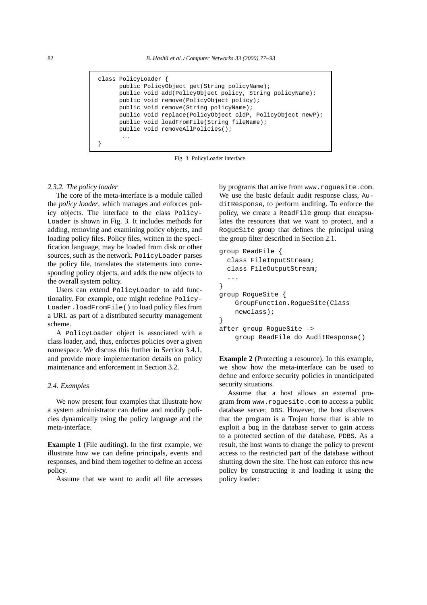```
class PolicyLoader {
     public PolicyObject get(String policyName);
     public void add(PolicyObject policy, String policyName);
     public void remove(PolicyObject policy);
      public void remove(String policyName);
      public void replace(PolicyObject oldP, PolicyObject newP);
      public void loadFromFile(String fileName);
      public void removeAllPolicies();
       :::
}
```
Fig. 3. PolicyLoader interface.

#### *2.3.2. The policy loader*

The core of the meta-interface is a module called the *policy loader*, which manages and enforces policy objects. The interface to the class Policy-Loader is shown in Fig. 3. It includes methods for adding, removing and examining policy objects, and loading policy files. Policy files, written in the specification language, may be loaded from disk or other sources, such as the network. PolicyLoader parses the policy file, translates the statements into corresponding policy objects, and adds the new objects to the overall system policy.

Users can extend PolicyLoader to add functionality. For example, one might redefine Policy-Loader.loadFromFile() to load policy files from a URL as part of a distributed security management scheme.

A PolicyLoader object is associated with a class loader, and, thus, enforces policies over a given namespace. We discuss this further in Section 3.4.1, and provide more implementation details on policy maintenance and enforcement in Section 3.2.

#### *2.4. Examples*

We now present four examples that illustrate how a system administrator can define and modify policies dynamically using the policy language and the meta-interface.

**Example 1** (File auditing). In the first example, we illustrate how we can define principals, events and responses, and bind them together to define an access policy.

Assume that we want to audit all file accesses

by programs that arrive from www.roguesite.com. We use the basic default audit response class, AuditResponse, to perform auditing. To enforce the policy, we create a ReadFile group that encapsulates the resources that we want to protect, and a RogueSite group that defines the principal using the group filter described in Section 2.1.

```
group ReadFile {
  class FileInputStream;
  class FileOutputStream;
  ...
}
group RogueSite {
    GroupFunction.RogueSite(Class
    newclass);
}
after group RogueSite ->
    group ReadFile do AuditResponse()
```
**Example 2** (Protecting a resource). In this example, we show how the meta-interface can be used to define and enforce security policies in unanticipated security situations.

Assume that a host allows an external program from www.roguesite.com to access a public database server, DBS. However, the host discovers that the program is a Trojan horse that is able to exploit a bug in the database server to gain access to a protected section of the database, PDBS. As a result, the host wants to change the policy to prevent access to the restricted part of the database without shutting down the site. The host can enforce this new policy by constructing it and loading it using the policy loader: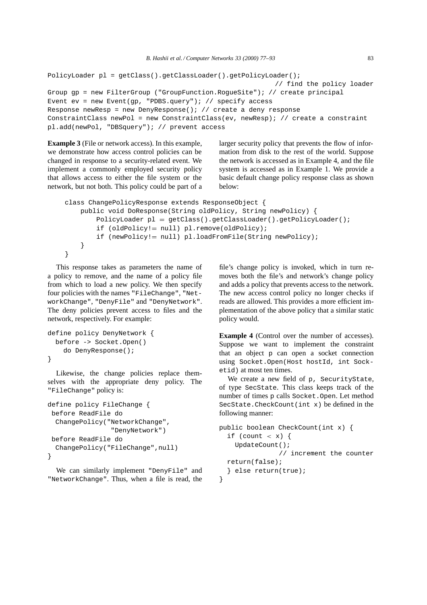```
PolicyLoader pl = getClass().getClassLoader().getPolicyLoader();
                                                          // find the policy loader
Group gp = new FilterGroup ("GroupFunction.RogueSite"); // create principal
Event ev = new Event(qp, "PDBS.query"); // specify access
Response newResp = new DenyResponse(); // create a deny response
ConstraintClass newPol = new ConstraintClass(ev, newResp); // create a constraint
pl.add(newPol, "DBSquery"); // prevent access
```
**Example 3** (File or network access). In this example, we demonstrate how access control policies can be changed in response to a security-related event. We implement a commonly employed security policy that allows access to either the file system or the network, but not both. This policy could be part of a larger security policy that prevents the flow of information from disk to the rest of the world. Suppose the network is accessed as in Example 4, and the file system is accessed as in Example 1. We provide a basic default change policy response class as shown below:

```
class ChangePolicyResponse extends ResponseObject {
    public void DoResponse(String oldPolicy, String newPolicy) {
        PolicyLoader p1 = getClass().getClassLoader().getPolicyLoader();
        if (oldPolicy!= null) pl.remove(oldPolicy);
        if (newPolicy!= null) pl.loadFromFile(String newPolicy);
    }
}
```
This response takes as parameters the name of a policy to remove, and the name of a policy file from which to load a new policy. We then specify four policies with the names "FileChange", "NetworkChange", "DenyFile" and "DenyNetwork". The deny policies prevent access to files and the network, respectively. For example:

```
define policy DenyNetwork {
 before -> Socket.Open()
    do DenyResponse();
}
```
Likewise, the change policies replace themselves with the appropriate deny policy. The "FileChange" policy is:

```
define policy FileChange {
before ReadFile do
 ChangePolicy("NetworkChange",
                "DenyNetwork")
before ReadFile do
  ChangePolicy("FileChange",null)
}
```
We can similarly implement "DenyFile" and "NetworkChange". Thus, when a file is read, the

file's change policy is invoked, which in turn removes both the file's and network's change policy and adds a policy that prevents access to the network. The new access control policy no longer checks if reads are allowed. This provides a more efficient implementation of the above policy that a similar static policy would.

**Example 4** (Control over the number of accesses). Suppose we want to implement the constraint that an object p can open a socket connection using Socket.Open(Host hostId, int Socketid) at most ten times.

We create a new field of p, SecurityState, of type SecState. This class keeps track of the number of times p calls Socket. Open. Let method SecState.CheckCount(int x) be defined in the following manner:

```
public boolean CheckCount(int x) {
  if (count < x) {
    UpdateCount();
                // increment the counter
  return(false);
  } else return(true);
}
```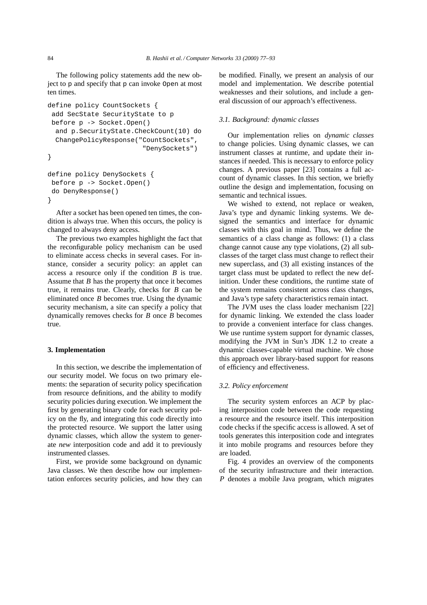The following policy statements add the new object to p and specify that p can invoke Open at most ten times.

```
define policy CountSockets {
add SecState SecurityState to p
before p -> Socket.Open()
  and p.SecurityState.CheckCount(10) do
 ChangePolicyResponse("CountSockets",
                        "DenySockets")
}
define policy DenySockets {
before p -> Socket.Open()
do DenyResponse()
}
```
After a socket has been opened ten times, the condition is always true. When this occurs, the policy is changed to always deny access.

The previous two examples highlight the fact that the reconfigurable policy mechanism can be used to eliminate access checks in several cases. For instance, consider a security policy: an applet can access a resource only if the condition *B* is true. Assume that *B* has the property that once it becomes true, it remains true. Clearly, checks for *B* can be eliminated once *B* becomes true. Using the dynamic security mechanism, a site can specify a policy that dynamically removes checks for *B* once *B* becomes true.

#### **3. Implementation**

In this section, we describe the implementation of our security model. We focus on two primary elements: the separation of security policy specification from resource definitions, and the ability to modify security policies during execution. We implement the first by generating binary code for each security policy on the fly, and integrating this code directly into the protected resource. We support the latter using dynamic classes, which allow the system to generate *new* interposition code and add it to previously instrumented classes.

First, we provide some background on dynamic Java classes. We then describe how our implementation enforces security policies, and how they can be modified. Finally, we present an analysis of our model and implementation. We describe potential weaknesses and their solutions, and include a general discussion of our approach's effectiveness.

#### *3.1. Background: dynamic classes*

Our implementation relies on *dynamic classes* to change policies. Using dynamic classes, we can instrument classes at runtime, and update their instances if needed. This is necessary to enforce policy changes. A previous paper [23] contains a full account of dynamic classes. In this section, we briefly outline the design and implementation, focusing on semantic and technical issues.

We wished to extend, not replace or weaken, Java's type and dynamic linking systems. We designed the semantics and interface for dynamic classes with this goal in mind. Thus, we define the semantics of a class change as follows: (1) a class change cannot cause any type violations, (2) all subclasses of the target class must change to reflect their new superclass, and (3) all existing instances of the target class must be updated to reflect the new definition. Under these conditions, the runtime state of the system remains consistent across class changes, and Java's type safety characteristics remain intact.

The JVM uses the class loader mechanism [22] for dynamic linking. We extended the class loader to provide a convenient interface for class changes. We use runtime system support for dynamic classes, modifying the JVM in Sun's JDK 1.2 to create a dynamic classes-capable virtual machine. We chose this approach over library-based support for reasons of efficiency and effectiveness.

#### *3.2. Policy enforcement*

The security system enforces an ACP by placing interposition code between the code requesting a resource and the resource itself. This interposition code checks if the specific access is allowed. A set of tools generates this interposition code and integrates it into mobile programs and resources before they are loaded.

Fig. 4 provides an overview of the components of the security infrastructure and their interaction. *P* denotes a mobile Java program, which migrates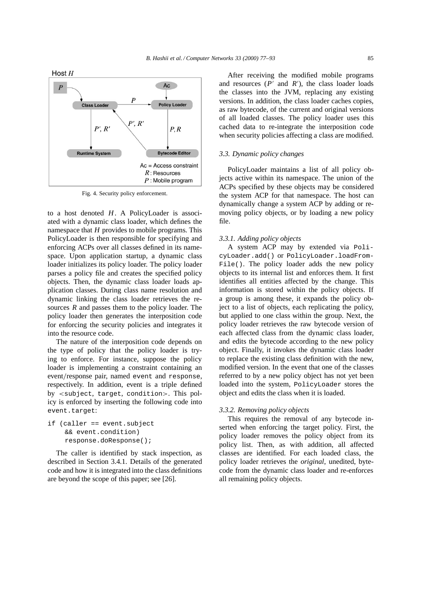

Fig. 4. Security policy enforcement.

to a host denoted *H*. A PolicyLoader is associated with a dynamic class loader, which defines the namespace that *H* provides to mobile programs. This PolicyLoader is then responsible for specifying and enforcing ACPs over all classes defined in its namespace. Upon application startup, a dynamic class loader initializes its policy loader. The policy loader parses a policy file and creates the specified policy objects. Then, the dynamic class loader loads application classes. During class name resolution and dynamic linking the class loader retrieves the resources *R* and passes them to the policy loader. The policy loader then generates the interposition code for enforcing the security policies and integrates it into the resource code.

The nature of the interposition code depends on the type of policy that the policy loader is trying to enforce. For instance, suppose the policy loader is implementing a constraint containing an event/response pair, named event and response, respectively. In addition, event is a triple defined by <subject, target, condition>. This policy is enforced by inserting the following code into event.target:

```
if (caller == event.subject
    && event.condition)
    response.doResponse();
```
The caller is identified by stack inspection, as described in Section 3.4.1. Details of the generated code and how it is integrated into the class definitions are beyond the scope of this paper; see [26].

After receiving the modified mobile programs and resources  $(P'$  and  $R'$ ), the class loader loads the classes into the JVM, replacing any existing versions. In addition, the class loader caches copies, as raw bytecode, of the current and original versions of all loaded classes. The policy loader uses this cached data to re-integrate the interposition code when security policies affecting a class are modified.

## *3.3. Dynamic policy changes*

PolicyLoader maintains a list of all policy objects active within its namespace. The union of the ACPs specified by these objects may be considered the system ACP for that namespace. The host can dynamically change a system ACP by adding or removing policy objects, or by loading a new policy file.

## *3.3.1. Adding policy objects*

A system ACP may by extended via PolicyLoader.add() or PolicyLoader.loadFrom-File(). The policy loader adds the new policy objects to its internal list and enforces them. It first identifies all entities affected by the change. This information is stored within the policy objects. If a group is among these, it expands the policy object to a list of objects, each replicating the policy, but applied to one class within the group. Next, the policy loader retrieves the raw bytecode version of each affected class from the dynamic class loader, and edits the bytecode according to the new policy object. Finally, it invokes the dynamic class loader to replace the existing class definition with the new, modified version. In the event that one of the classes referred to by a new policy object has not yet been loaded into the system, PolicyLoader stores the object and edits the class when it is loaded.

## *3.3.2. Removing policy objects*

This requires the removal of any bytecode inserted when enforcing the target policy. First, the policy loader removes the policy object from its policy list. Then, as with addition, all affected classes are identified. For each loaded class, the policy loader retrieves the *original*, unedited, bytecode from the dynamic class loader and re-enforces all remaining policy objects.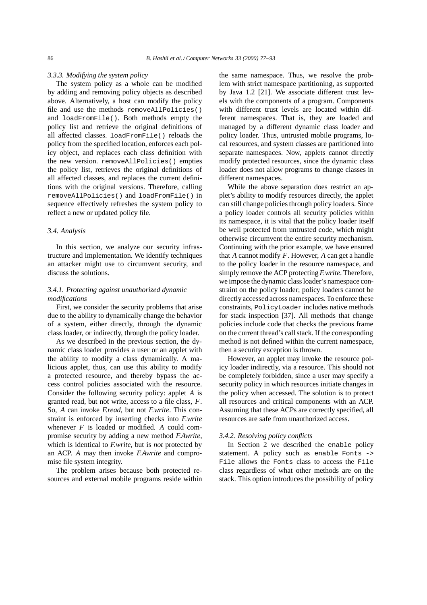## *3.3.3. Modifying the system policy*

The system policy as a whole can be modified by adding and removing policy objects as described above. Alternatively, a host can modify the policy file and use the methods removeAllPolicies() and loadFromFile(). Both methods empty the policy list and retrieve the original definitions of all affected classes. loadFromFile() reloads the policy from the specified location, enforces each policy object, and replaces each class definition with the new version. removeAllPolicies() empties the policy list, retrieves the original definitions of all affected classes, and replaces the current definitions with the original versions. Therefore, calling removeAllPolicies() and loadFromFile() in sequence effectively refreshes the system policy to reflect a new or updated policy file.

#### *3.4. Analysis*

In this section, we analyze our security infrastructure and implementation. We identify techniques an attacker might use to circumvent security, and discuss the solutions.

# *3.4.1. Protecting against unauthorized dynamic modifications*

First, we consider the security problems that arise due to the ability to dynamically change the behavior of a system, either directly, through the dynamic class loader, or indirectly, through the policy loader.

As we described in the previous section, the dynamic class loader provides a user or an applet with the ability to modify a class dynamically. A malicious applet, thus, can use this ability to modify a protected resource, and thereby bypass the access control policies associated with the resource. Consider the following security policy: applet *A* is granted read, but not write, access to a file class, *F*. So, *A* can invoke *F.read*, but not *F.write*. This constraint is enforced by inserting checks into *F.write* whenever *F* is loaded or modified. *A* could compromise security by adding a new method *F.Awrite*, which is identical to *F.write*, but is *not* protected by an ACP. *A* may then invoke *F.Awrite* and compromise file system integrity.

The problem arises because both protected resources and external mobile programs reside within the same namespace. Thus, we resolve the problem with strict namespace partitioning, as supported by Java 1.2 [21]. We associate different trust levels with the components of a program. Components with different trust levels are located within different namespaces. That is, they are loaded and managed by a different dynamic class loader and policy loader. Thus, untrusted mobile programs, local resources, and system classes are partitioned into separate namespaces. Now, applets cannot directly modify protected resources, since the dynamic class loader does not allow programs to change classes in different namespaces.

While the above separation does restrict an applet's ability to modify resources directly, the applet can still change policies through policy loaders. Since a policy loader controls all security policies within its namespace, it is vital that the policy loader itself be well protected from untrusted code, which might otherwise circumvent the entire security mechanism. Continuing with the prior example, we have ensured that *A* cannot modify *F*. However, *A* can get a handle to the policy loader in the resource namespace, and simply remove the ACP protecting*F.write*. Therefore, we impose the dynamic class loader's namespace constraint on the policy loader; policy loaders cannot be directly accessed across namespaces. To enforce these constraints, PolicyLoader includes native methods for stack inspection [37]. All methods that change policies include code that checks the previous frame on the current thread's call stack. If the corresponding method is not defined within the current namespace, then a security exception is thrown.

However, an applet may invoke the resource policy loader indirectly, via a resource. This should not be completely forbidden, since a user may specify a security policy in which resources initiate changes in the policy when accessed. The solution is to protect all resources and critical components with an ACP. Assuming that these ACPs are correctly specified, all resources are safe from unauthorized access.

## *3.4.2. Resolving policy conflicts*

In Section 2 we described the enable policy statement. A policy such as enable Fonts -> File allows the Fonts class to access the File class regardless of what other methods are on the stack. This option introduces the possibility of policy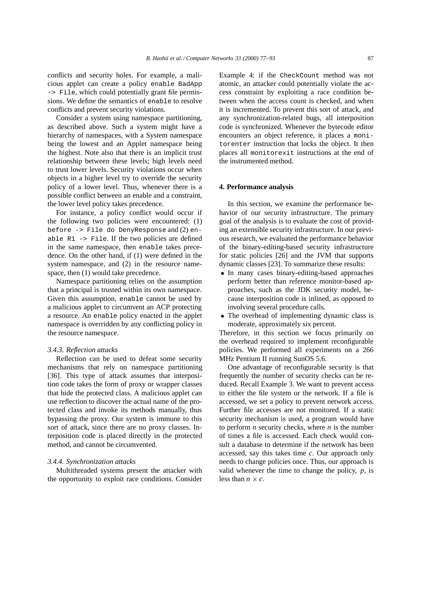conflicts and security holes. For example, a malicious applet can create a policy enable BadApp -> File, which could potentially grant file permissions. We define the semantics of enable to resolve conflicts and prevent security violations.

Consider a system using namespace partitioning, as described above. Such a system might have a hierarchy of namespaces, with a System namespace being the lowest and an Applet namespace being the highest. Note also that there is an implicit trust relationship between these levels; high levels need to trust lower levels. Security violations occur when objects in a higher level try to override the security policy of a lower level. Thus, whenever there is a possible conflict between an enable and a constraint, the lower level policy takes precedence.

For instance, a policy conflict would occur if the following two policies were encountered: (1) before -> File do DenyResponse and (2) enable R1 -> File. If the two policies are defined in the same namespace, then enable takes precedence. On the other hand, if (1) were defined in the system namespace, and (2) in the resource namespace, then  $(1)$  would take precedence.

Namespace partitioning relies on the assumption that a principal is trusted within its own namespace. Given this assumption, enable cannot be used by a malicious applet to circumvent an ACP protecting a resource. An enable policy enacted in the applet namespace is overridden by any conflicting policy in the resource namespace.

#### *3.4.3. Reflection attacks*

Reflection can be used to defeat some security mechanisms that rely on namespace partitioning [36]. This type of attack assumes that interposition code takes the form of proxy or wrapper classes that hide the protected class. A malicious applet can use reflection to discover the actual name of the protected class and invoke its methods manually, thus bypassing the proxy. Our system is immune to this sort of attack, since there are no proxy classes. Interposition code is placed directly in the protected method, and cannot be circumvented.

## *3.4.4. Synchronization attacks*

Multithreaded systems present the attacker with the opportunity to exploit race conditions. Consider Example 4: if the CheckCount method was not atomic, an attacker could potentially violate the access constraint by exploiting a race condition between when the access count is checked, and when it is incremented. To prevent this sort of attack, and any synchronization-related bugs, all interposition code is synchronized. Whenever the bytecode editor encounters an object reference, it places a monitorenter instruction that locks the object. It then places all monitorexit instructions at the end of the instrumented method.

#### **4. Performance analysis**

In this section, we examine the performance behavior of our security infrastructure. The primary goal of the analysis is to evaluate the cost of providing an extensible security infrastructure. In our previous research, we evaluated the performance behavior of the binary-editing-based security infrastructure for static policies [26] and the JVM that supports dynamic classes [23]. To summarize these results:

- In many cases binary-editing-based approaches perform better than reference monitor-based approaches, such as the JDK security model, because interposition code is inlined, as opposed to involving several procedure calls.
- The overhead of implementing dynamic class is moderate, approximately six percent.

Therefore, in this section we focus primarily on the overhead required to implement reconfigurable policies. We performed all experiments on a 266 MHz Pentium II running SunOS 5.6.

One advantage of reconfigurable security is that frequently the number of security checks can be reduced. Recall Example 3. We want to prevent access to either the file system or the network. If a file is accessed, we set a policy to prevent network access. Further file accesses are not monitored. If a static security mechanism is used, a program would have to perform *n* security checks, where *n* is the number of times a file is accessed. Each check would consult a database to determine if the network has been accessed, say this takes time *c*. Our approach only needs to change policies once. Thus, our approach is valid whenever the time to change the policy,  $p$ , is less than  $n \times c$ .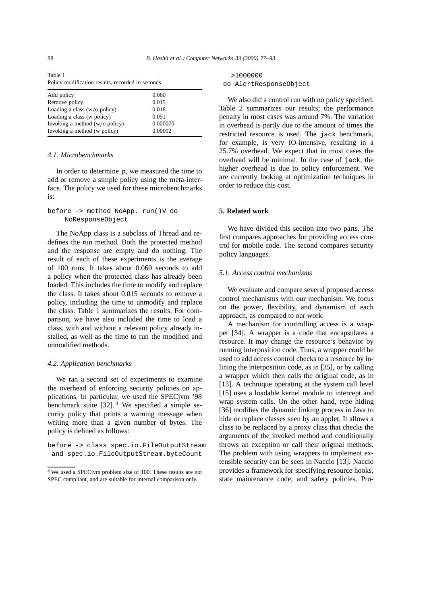| Table 1                                          |  |  |
|--------------------------------------------------|--|--|
| Policy modification results, recorded in seconds |  |  |

| Add policy                       | 0.060    |
|----------------------------------|----------|
| Remove policy                    | 0.015    |
| Loading a class $(w/o$ policy)   | 0.018    |
| Loading a class (w policy)       | 0.051    |
| Invoking a method $(w/o$ policy) | 0.000070 |
| Invoking a method (w policy)     | 0.00092  |

### *4.1. Microbenchmarks*

In order to determine *p*, we measured the time to add or remove a simple policy using the meta-interface. The policy we used for these microbenchmarks is:

# before -> method NoApp. run()V do NoResponseObject

The NoApp class is a subclass of Thread and redefines the run method. Both the protected method and the response are empty and do nothing. The result of each of these experiments is the average of 100 runs. It takes about 0.060 seconds to add a policy when the protected class has already been loaded. This includes the time to modify and replace the class. It takes about 0.015 seconds to remove a policy, including the time to unmodify and replace the class. Table 1 summarizes the results. For comparison, we have also included the time to load a class, with and without a relevant policy already installed, as well as the time to run the modified and unmodified methods.

#### *4.2. Application benchmarks*

We ran a second set of experiments to examine the overhead of enforcing security policies on applications. In particular, we used the SPECjvm '98 benchmark suite  $[32]$ .<sup>3</sup> We specified a simple security policy that prints a warning message when writing more than a given number of bytes. The policy is defined as follows:

before -> class spec.io.FileOutputStream and spec.io.FileOutputStream.byteCount

>1000000 do AlertResponseObject

We also did a control run with no policy specified. Table 2 summarizes our results; the performance penalty in most cases was around 7%. The variation in overhead is partly due to the amount of times the restricted resource is used. The jack benchmark, for example, is very IO-intensive, resulting in a 25.7% overhead. We expect that in most cases the overhead will be minimal. In the case of jack, the higher overhead is due to policy enforcement. We are currently looking at optimization techniques in order to reduce this cost.

## **5. Related work**

We have divided this section into two parts. The first compares approaches for providing access control for mobile code. The second compares security policy languages.

## *5.1. Access control mechanisms*

We evaluate and compare several proposed access control mechanisms with our mechanism. We focus on the power, flexibility, and dynamism of each approach, as compared to our work.

A mechanism for controlling access is a wrapper [34]. A wrapper is a code that encapsulates a resource. It may change the resource's behavior by running interposition code. Thus, a wrapper could be used to add access control checks to a resource by inlining the interposition code, as in [35], or by calling a wrapper which then calls the original code, as in [13]. A technique operating at the system call level [15] uses a loadable kernel module to intercept and wrap system calls. On the other hand, type hiding [36] modifies the dynamic linking process in Java to hide or replace classes seen by an applet. It allows a class to be replaced by a proxy class that checks the arguments of the invoked method and conditionally throws an exception or call their original methods. The problem with using wrappers to implement extensible security can be seen in Naccio [13]. Naccio provides a framework for specifying resource hooks, state maintenance code, and safety policies. Pro-

<sup>&</sup>lt;sup>3</sup> We used a SPECjvm problem size of 100. These results are not SPEC compliant, and are suitable for internal comparison only.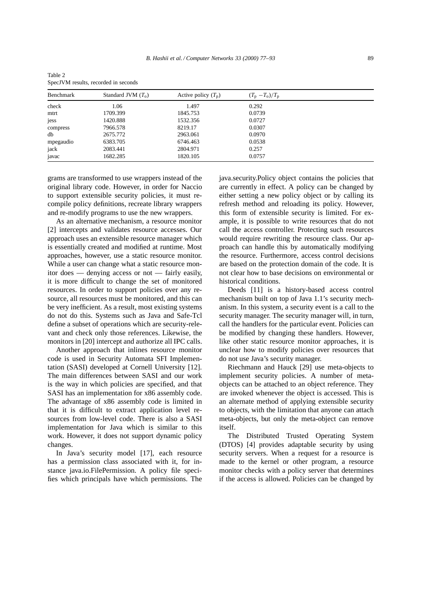Table 2 SpecJVM results, recorded in seconds

| Benchmark | Standard JVM $(T_0)$ | Active policy $(T_n)$ | $(T_{\rm p} - T_{\rm o})/T_{\rm p}$ |  |
|-----------|----------------------|-----------------------|-------------------------------------|--|
| check     | 1.06                 | 1.497                 | 0.292                               |  |
| mtrt      | 1709.399             | 1845.753              | 0.0739                              |  |
| jess      | 1420.888             | 1532.356              | 0.0727                              |  |
| compress  | 7966.578             | 8219.17               | 0.0307                              |  |
| db        | 2675.772             | 2963.061              | 0.0970                              |  |
| mpegaudio | 6383.705             | 6746.463              | 0.0538                              |  |
| jack      | 2083.441             | 2804.971              | 0.257                               |  |
| javac     | 1682.285             | 1820.105              | 0.0757                              |  |

grams are transformed to use wrappers instead of the original library code. However, in order for Naccio to support extensible security policies, it must recompile policy definitions, recreate library wrappers and re-modify programs to use the new wrappers.

As an alternative mechanism, a resource monitor [2] intercepts and validates resource accesses. Our approach uses an extensible resource manager which is essentially created and modified at runtime. Most approaches, however, use a static resource monitor. While a user can change what a static resource monitor does — denying access or not — fairly easily, it is more difficult to change the set of monitored resources. In order to support policies over any resource, all resources must be monitored, and this can be very inefficient. As a result, most existing systems do not do this. Systems such as Java and Safe-Tcl define a subset of operations which are security-relevant and check only those references. Likewise, the monitors in [20] intercept and authorize all IPC calls.

Another approach that inlines resource monitor code is used in Security Automata SFI Implementation (SASI) developed at Cornell University [12]. The main differences between SASI and our work is the way in which policies are specified, and that SASI has an implementation for x86 assembly code. The advantage of x86 assembly code is limited in that it is difficult to extract application level resources from low-level code. There is also a SASI implementation for Java which is similar to this work. However, it does not support dynamic policy changes.

In Java's security model [17], each resource has a permission class associated with it, for instance java.io.FilePermission. A policy file specifies which principals have which permissions. The java.security.Policy object contains the policies that are currently in effect. A policy can be changed by either setting a new policy object or by calling its refresh method and reloading its policy. However, this form of extensible security is limited. For example, it is possible to write resources that do not call the access controller. Protecting such resources would require rewriting the resource class. Our approach can handle this by automatically modifying the resource. Furthermore, access control decisions are based on the protection domain of the code. It is not clear how to base decisions on environmental or historical conditions.

Deeds [11] is a history-based access control mechanism built on top of Java 1.1's security mechanism. In this system, a security event is a call to the security manager. The security manager will, in turn, call the handlers for the particular event. Policies can be modified by changing these handlers. However, like other static resource monitor approaches, it is unclear how to modify policies over resources that do not use Java's security manager.

Riechmann and Hauck [29] use meta-objects to implement security policies. A number of metaobjects can be attached to an object reference. They are invoked whenever the object is accessed. This is an alternate method of applying extensible security to objects, with the limitation that anyone can attach meta-objects, but only the meta-object can remove itself.

The Distributed Trusted Operating System (DTOS) [4] provides adaptable security by using security servers. When a request for a resource is made to the kernel or other program, a resource monitor checks with a policy server that determines if the access is allowed. Policies can be changed by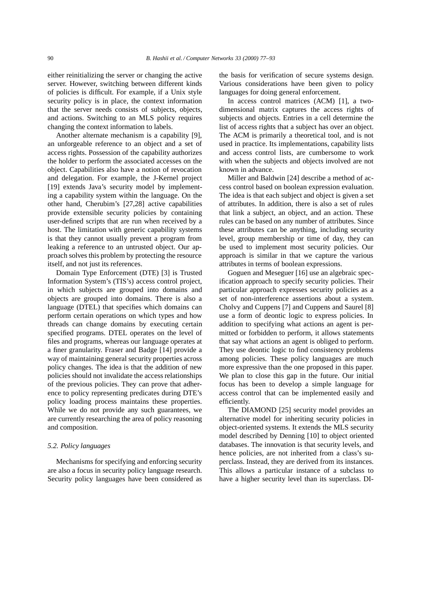either reinitializing the server or changing the active server. However, switching between different kinds of policies is difficult. For example, if a Unix style security policy is in place, the context information that the server needs consists of subjects, objects, and actions. Switching to an MLS policy requires changing the context information to labels.

Another alternate mechanism is a capability [9], an unforgeable reference to an object and a set of access rights. Possession of the capability authorizes the holder to perform the associated accesses on the object. Capabilities also have a notion of revocation and delegation. For example, the J-Kernel project [19] extends Java's security model by implementing a capability system within the language. On the other hand, Cherubim's [27,28] active capabilities provide extensible security policies by containing user-defined scripts that are run when received by a host. The limitation with generic capability systems is that they cannot usually prevent a program from leaking a reference to an untrusted object. Our approach solves this problem by protecting the resource itself, and not just its references.

Domain Type Enforcement (DTE) [3] is Trusted Information System's (TIS's) access control project, in which subjects are grouped into domains and objects are grouped into domains. There is also a language (DTEL) that specifies which domains can perform certain operations on which types and how threads can change domains by executing certain specified programs. DTEL operates on the level of files and programs, whereas our language operates at a finer granularity. Fraser and Badge [14] provide a way of maintaining general security properties across policy changes. The idea is that the addition of new policies should not invalidate the access relationships of the previous policies. They can prove that adherence to policy representing predicates during DTE's policy loading process maintains these properties. While we do not provide any such guarantees, we are currently researching the area of policy reasoning and composition.

## *5.2. Policy languages*

Mechanisms for specifying and enforcing security are also a focus in security policy language research. Security policy languages have been considered as the basis for verification of secure systems design. Various considerations have been given to policy languages for doing general enforcement.

In access control matrices (ACM) [1], a twodimensional matrix captures the access rights of subjects and objects. Entries in a cell determine the list of access rights that a subject has over an object. The ACM is primarily a theoretical tool, and is not used in practice. Its implementations, capability lists and access control lists, are cumbersome to work with when the subjects and objects involved are not known in advance.

Miller and Baldwin [24] describe a method of access control based on boolean expression evaluation. The idea is that each subject and object is given a set of attributes. In addition, there is also a set of rules that link a subject, an object, and an action. These rules can be based on any number of attributes. Since these attributes can be anything, including security level, group membership or time of day, they can be used to implement most security policies. Our approach is similar in that we capture the various attributes in terms of boolean expressions.

Goguen and Meseguer [16] use an algebraic specification approach to specify security policies. Their particular approach expresses security policies as a set of non-interference assertions about a system. Cholvy and Cuppens [7] and Cuppens and Saurel [8] use a form of deontic logic to express policies. In addition to specifying what actions an agent is permitted or forbidden to perform, it allows statements that say what actions an agent is obliged to perform. They use deontic logic to find consistency problems among policies. These policy languages are much more expressive than the one proposed in this paper. We plan to close this gap in the future. Our initial focus has been to develop a simple language for access control that can be implemented easily and efficiently.

The DIAMOND [25] security model provides an alternative model for inheriting security policies in object-oriented systems. It extends the MLS security model described by Denning [10] to object oriented databases. The innovation is that security levels, and hence policies, are not inherited from a class's superclass. Instead, they are derived from its instances. This allows a particular instance of a subclass to have a higher security level than its superclass. DI-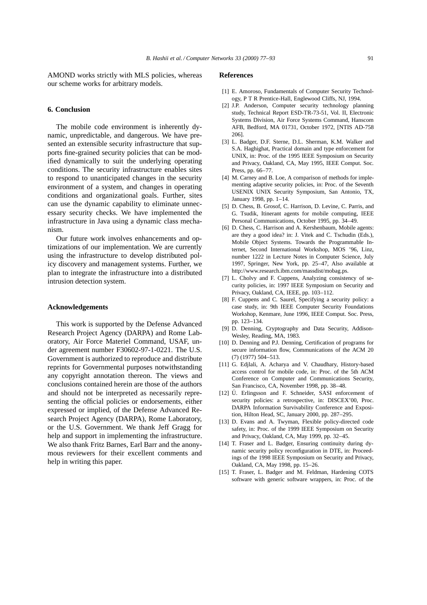AMOND works strictly with MLS policies, whereas our scheme works for arbitrary models.

# **6. Conclusion**

The mobile code environment is inherently dynamic, unpredictable, and dangerous. We have presented an extensible security infrastructure that supports fine-grained security policies that can be modified dynamically to suit the underlying operating conditions. The security infrastructure enables sites to respond to unanticipated changes in the security environment of a system, and changes in operating conditions and organizational goals. Further, sites can use the dynamic capability to eliminate unnecessary security checks. We have implemented the infrastructure in Java using a dynamic class mechanism.

Our future work involves enhancements and optimizations of our implementation. We are currently using the infrastructure to develop distributed policy discovery and management systems. Further, we plan to integrate the infrastructure into a distributed intrusion detection system.

#### **Acknowledgements**

This work is supported by the Defense Advanced Research Project Agency (DARPA) and Rome Laboratory, Air Force Materiel Command, USAF, under agreement number F30602-97-1-0221. The U.S. Government is authorized to reproduce and distribute reprints for Governmental purposes notwithstanding any copyright annotation thereon. The views and conclusions contained herein are those of the authors and should not be interpreted as necessarily representing the official policies or endorsements, either expressed or implied, of the Defense Advanced Research Project Agency (DARPA), Rome Laboratory, or the U.S. Government. We thank Jeff Gragg for help and support in implementing the infrastructure. We also thank Fritz Barnes, Earl Barr and the anonymous reviewers for their excellent comments and help in writing this paper.

#### **References**

- [1] E. Amoroso, Fundamentals of Computer Security Technology, P T R Prentice-Hall, Englewood Cliffs, NJ, 1994.
- [2] J.P. Anderson, Computer security technology planning study, Technical Report ESD-TR-73-51, Vol. II, Electronic Systems Division, Air Force Systems Command, Hanscom AFB, Bedford, MA 01731, October 1972, [NTIS AD-758 206].
- [3] L. Badger, D.F. Sterne, D.L. Sherman, K.M. Walker and S.A. Haghighat, Practical domain and type enforcement for UNIX, in: Proc. of the 1995 IEEE Symposium on Security and Privacy, Oakland, CA, May 1995, IEEE Comput. Soc. Press, pp. 66–77.
- [4] M. Carney and B. Loe, A comparison of methods for implementing adaptive security policies, in: Proc. of the Seventh USENIX UNIX Security Symposium, San Antonio, TX, January 1998, pp. 1–14.
- [5] D. Chess, B. Grosof, C. Harrison, D. Levine, C. Parris, and G. Tsudik, Itinerant agents for mobile computing, IEEE Personal Communications, October 1995, pp. 34–49.
- [6] D. Chess, C. Harrison and A. Kershenbaum, Mobile agents: are they a good idea? in: J. Vitek and C. Tschudin (Eds.), Mobile Object Systems. Towards the Programmable Internet, Second International Workshop, MOS '96, Linz, number 1222 in Lecture Notes in Computer Science, July 1997, Springer, New York, pp. 25–47, Also available at http://www.research.ibm.com/massdist/mobag.ps.
- [7] L. Cholvy and F. Cuppens, Analyzing consistency of security policies, in: 1997 IEEE Symposium on Security and Privacy, Oakland, CA, IEEE, pp. 103–112.
- [8] F. Cuppens and C. Saurel, Specifying a security policy: a case study, in: 9th IEEE Computer Security Foundations Workshop, Kenmare, June 1996, IEEE Comput. Soc. Press, pp. 123–134.
- [9] D. Denning, Cryptography and Data Security, Addison-Wesley, Reading, MA, 1983.
- [10] D. Denning and P.J. Denning, Certification of programs for secure information flow, Communications of the ACM 20 (7) (1977) 504–513.
- [11] G. Edjlali, A. Acharya and V. Chaudhary, History-based access control for mobile code, in: Proc. of the 5th ACM Conference on Computer and Communications Security, San Francisco, CA, November 1998, pp. 38–48.
- [12] Ú. Erlingsson and F. Schneider, SASI enforcement of security policies: a retrospective, in: DISCEX'00, Proc. DARPA Information Survivability Conference and Exposition, Hilton Head, SC, January 2000, pp. 287–295.
- [13] D. Evans and A. Twyman, Flexible policy-directed code safety, in: Proc. of the 1999 IEEE Symposium on Security and Privacy, Oakland, CA, May 1999, pp. 32–45.
- [14] T. Fraser and L. Badger, Ensuring continuity during dynamic security policy reconfiguration in DTE, in: Proceedings of the 1998 IEEE Symposium on Security and Privacy, Oakland, CA, May 1998, pp. 15–26.
- [15] T. Fraser, L. Badger and M. Feldman, Hardening COTS software with generic software wrappers, in: Proc. of the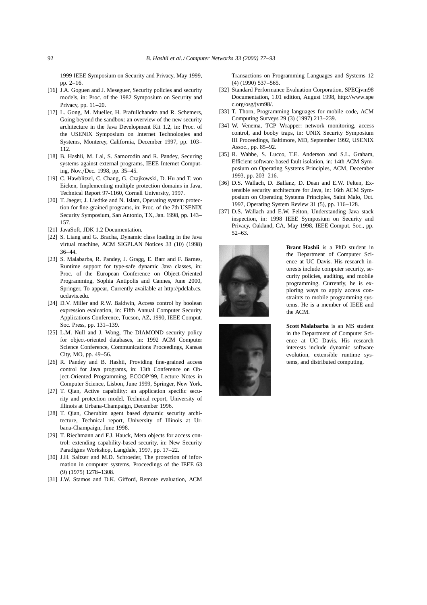1999 IEEE Symposium on Security and Privacy, May 1999, pp. 2–16.

- [16] J.A. Goguen and J. Meseguer, Security policies and security models, in: Proc. of the 1982 Symposium on Security and Privacy, pp. 11–20.
- [17] L. Gong, M. Mueller, H. Prafullchandra and R. Schemers, Going beyond the sandbox: an overview of the new security architecture in the Java Development Kit 1.2, in: Proc. of the USENIX Symposium on Internet Technologies and Systems, Monterey, California, December 1997, pp. 103– 112.
- [18] B. Hashii, M. Lal, S. Samorodin and R. Pandey, Securing systems against external programs, IEEE Internet Computing, Nov./Dec. 1998, pp. 35–45.
- [19] C. Hawblitzel, C. Chang, G. Czajkowski, D. Hu and T. von Eicken, Implementing multiple protection domains in Java, Technical Report 97-1160, Cornell University, 1997.
- [20] T. Jaeger, J. Liedtke and N. Islam, Operating system protection for fine-grained programs, in: Proc. of the 7th USENIX Security Symposium, San Antonio, TX, Jan. 1998, pp. 143– 157.
- [21] JavaSoft, JDK 1.2 Documentation.
- [22] S. Liang and G. Bracha, Dynamic class loading in the Java virtual machine, ACM SIGPLAN Notices 33 (10) (1998) 36–44.
- [23] S. Malabarba, R. Pandey, J. Gragg, E. Barr and F. Barnes, Runtime support for type-safe dynamic Java classes, in: Proc. of the European Conference on Object-Oriented Programming, Sophia Antipolis and Cannes, June 2000, Springer, To appear, Currently available at http://pdclab.cs. ucdavis.edu.
- [24] D.V. Miller and R.W. Baldwin, Access control by boolean expression evaluation, in: Fifth Annual Computer Security Applications Conference, Tucson, AZ, 1990, IEEE Comput. Soc. Press, pp. 131–139.
- [25] L.M. Null and J. Wong, The DIAMOND security policy for object-oriented databases, in: 1992 ACM Computer Science Conference, Communications Proceedings, Kansas City, MO, pp. 49–56.
- [26] R. Pandey and B. Hashii, Providing fine-grained access control for Java programs, in: 13th Conference on Object-Oriented Programming, ECOOP'99, Lecture Notes in Computer Science, Lisbon, June 1999, Springer, New York.
- [27] T. Qian, Active capability: an application specific security and protection model, Technical report, University of Illinois at Urbana-Champaign, December 1996.
- [28] T. Qian, Cherubim agent based dynamic security architecture, Technical report, University of Illinois at Urbana-Champaign, June 1998.
- [29] T. Riechmann and F.J. Hauck, Meta objects for access control: extending capability-based security, in: New Security Paradigms Workshop, Langdale, 1997, pp. 17–22.
- [30] J.H. Saltzer and M.D. Schroeder, The protection of information in computer systems, Proceedings of the IEEE 63 (9) (1975) 1278–1308.
- [31] J.W. Stamos and D.K. Gifford, Remote evaluation, ACM

Transactions on Programming Languages and Systems 12 (4) (1990) 537–565.

- [32] Standard Performance Evaluation Corporation, SPECjvm98 Documentation, 1.01 edition, August 1998, http://www.spe c.org/osg/jvm98/.
- [33] T. Thorn, Programming languages for mobile code, ACM Computing Surveys 29 (3) (1997) 213–239.
- [34] W. Venema, TCP Wrapper: network monitoring, access control, and booby traps, in: UNIX Security Symposium III Proceedings, Baltimore, MD, September 1992, USENIX Assoc., pp. 85–92.
- [35] R. Wahbe, S. Lucco, T.E. Anderson and S.L. Graham, Efficient software-based fault isolation, in: 14th ACM Symposium on Operating Systems Principles, ACM, December 1993, pp. 203–216.
- [36] D.S. Wallach, D. Balfanz, D. Dean and E.W. Felten, Extensible security architecture for Java, in: 16th ACM Symposium on Operating Systems Principles, Saint Malo, Oct. 1997, Operating System Review 31 (5), pp. 116–128.
- [37] D.S. Wallach and E.W. Felton, Understanding Java stack inspection, in: 1998 IEEE Symposium on Security and Privacy, Oakland, CA, May 1998, IEEE Comput. Soc., pp. 52–63.





**Brant Hashii** is a PhD student in the Department of Computer Science at UC Davis. His research interests include computer security, security policies, auditing, and mobile programming. Currently, he is exploring ways to apply access constraints to mobile programming systems. He is a member of IEEE and the ACM.

**Scott Malabarba** is an MS student in the Department of Computer Science at UC Davis. His research interests include dynamic software evolution, extensible runtime systems, and distributed computing.